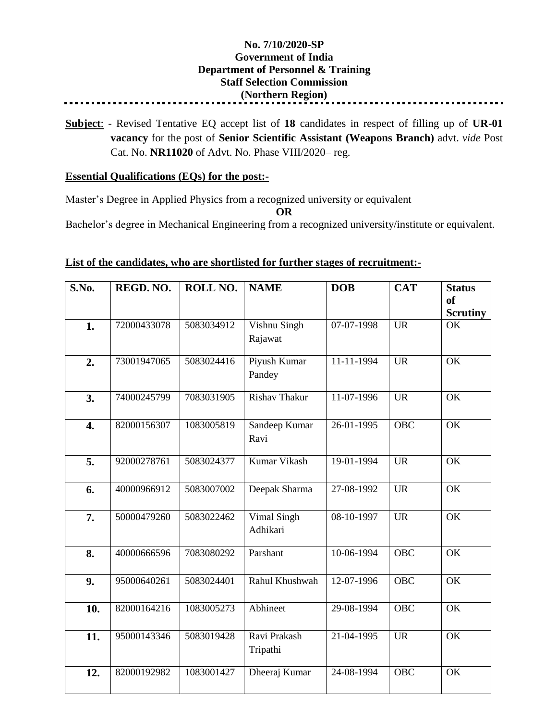## **No. 7/10/2020-SP Government of India Department of Personnel & Training Staff Selection Commission (Northern Region)**

**Subject**: - Revised Tentative EQ accept list of **18** candidates in respect of filling up of **UR-01 vacancy** for the post of **Senior Scientific Assistant (Weapons Branch)** advt. *vide* Post Cat. No. **NR11020** of Advt. No. Phase VIII/2020– reg.

## **Essential Qualifications (EQs) for the post:-**

Master's Degree in Applied Physics from a recognized university or equivalent

**OR**

Bachelor's degree in Mechanical Engineering from a recognized university/institute or equivalent.

## **List of the candidates, who are shortlisted for further stages of recruitment:-**

| S.No.            | REGD. NO.   | ROLL NO.   | <b>NAME</b>              | <b>DOB</b> | <b>CAT</b>       | <b>Status</b><br><sub>of</sub> |
|------------------|-------------|------------|--------------------------|------------|------------------|--------------------------------|
|                  |             |            |                          |            |                  | <b>Scrutiny</b>                |
| 1.               | 72000433078 | 5083034912 | Vishnu Singh             | 07-07-1998 | <b>UR</b>        | OK                             |
|                  |             |            | Rajawat                  |            |                  |                                |
| 2.               | 73001947065 | 5083024416 | Piyush Kumar             | 11-11-1994 | <b>UR</b>        | OK                             |
|                  |             |            | Pandey                   |            |                  |                                |
| 3.               | 74000245799 | 7083031905 | <b>Rishav Thakur</b>     | 11-07-1996 | <b>UR</b>        | $\overline{\text{OK}}$         |
| $\overline{4}$ . | 82000156307 | 1083005819 | Sandeep Kumar            | 26-01-1995 | <b>OBC</b>       | OK                             |
|                  |             |            | Ravi                     |            |                  |                                |
| 5.               | 92000278761 | 5083024377 | Kumar Vikash             | 19-01-1994 | <b>UR</b>        | OK                             |
| 6.               | 40000966912 | 5083007002 | Deepak Sharma            | 27-08-1992 | <b>UR</b>        | OK                             |
| 7.               | 50000479260 | 5083022462 | Vimal Singh              | 08-10-1997 | <b>UR</b>        | $\overline{\text{OK}}$         |
|                  |             |            | Adhikari                 |            |                  |                                |
| 8.               | 40000666596 | 7083080292 | Parshant                 | 10-06-1994 | <b>OBC</b>       | OK                             |
| 9.               | 95000640261 | 5083024401 | Rahul Khushwah           | 12-07-1996 | <b>OBC</b>       | OK                             |
|                  |             |            |                          |            |                  |                                |
| 10.              | 82000164216 | 1083005273 | Abhineet                 | 29-08-1994 | $\overline{OBC}$ | $\overline{\text{OK}}$         |
|                  |             |            |                          |            |                  |                                |
| 11.              | 95000143346 | 5083019428 | Ravi Prakash<br>Tripathi | 21-04-1995 | <b>UR</b>        | OK                             |
| 12.              | 82000192982 | 1083001427 | Dheeraj Kumar            | 24-08-1994 | <b>OBC</b>       | OK                             |